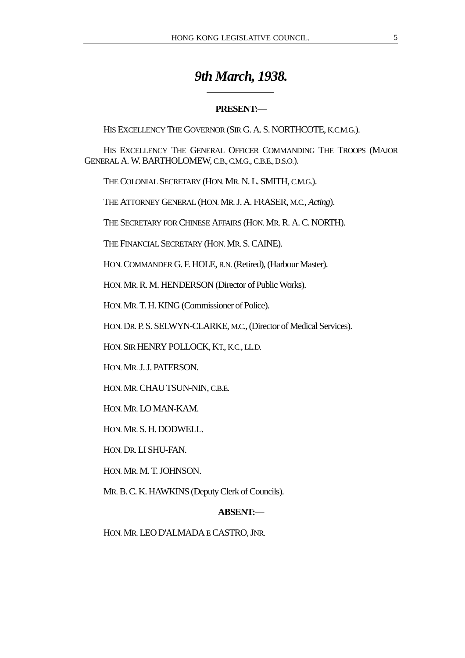# *9th March, 1938.*

# **PRESENT:**—

HIS EXCELLENCY THE GOVERNOR (SIR G. A. S. NORTHCOTE, K.C.M.G.).

HIS EXCELLENCY THE GENERAL OFFICER COMMANDING THE TROOPS (MAJOR GENERAL A. W. BARTHOLOMEW, C.B., C.M.G., C.B.E., D.S.O.).

THE COLONIAL SECRETARY (HON. MR. N. L. SMITH, C.M.G.).

l,

THE ATTORNEY GENERAL (HON. MR. J. A. FRASER, M.C., *Acting*).

THE SECRETARY FOR CHINESE AFFAIRS (HON. MR. R. A. C. NORTH).

THE FINANCIAL SECRETARY (HON. MR. S. CAINE).

HON. COMMANDER G. F. HOLE, R.N. (Retired), (Harbour Master).

HON. MR. R. M. HENDERSON (Director of Public Works).

HON. MR. T. H. KING (Commissioner of Police).

HON. DR. P. S. SELWYN-CLARKE, M.C., (Director of Medical Services).

HON. SIR HENRY POLLOCK, KT., K.C., LL.D.

HON. MR. J. J. PATERSON.

HON. MR. CHAU TSUN-NIN, C.B.E.

HON. MR. LO MAN-KAM.

HON. MR. S. H. DODWELL.

HON. DR. LI SHU-FAN.

HON. MR. M. T. JOHNSON.

MR. B. C. K. HAWKINS (Deputy Clerk of Councils).

# **ABSENT:**—

HON. MR. LEO D'ALMADA E CASTRO, JNR.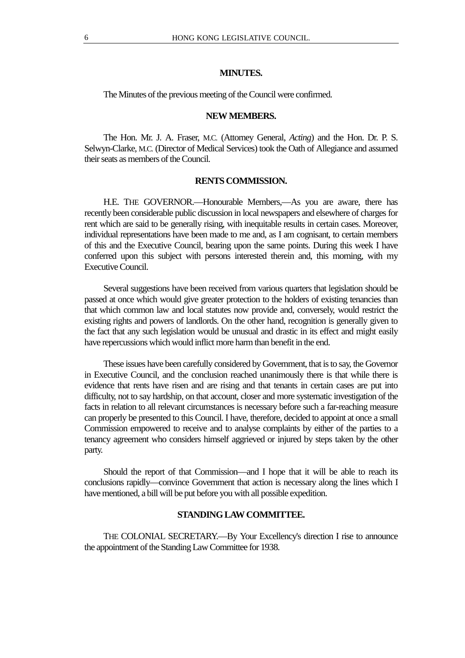## **MINUTES.**

The Minutes of the previous meeting of the Council were confirmed.

#### **NEW MEMBERS.**

The Hon. Mr. J. A. Fraser, M.C. (Attorney General, *Acting*) and the Hon. Dr. P. S. Selwyn-Clarke, M.C. (Director of Medical Services) took the Oath of Allegiance and assumed their seats as members of the Council.

#### **RENTS COMMISSION.**

H.E. THE GOVERNOR.—Honourable Members,—As you are aware, there has recently been considerable public discussion in local newspapers and elsewhere of charges for rent which are said to be generally rising, with inequitable results in certain cases. Moreover, individual representations have been made to me and, as I am cognisant, to certain members of this and the Executive Council, bearing upon the same points. During this week I have conferred upon this subject with persons interested therein and, this morning, with my Executive Council.

Several suggestions have been received from various quarters that legislation should be passed at once which would give greater protection to the holders of existing tenancies than that which common law and local statutes now provide and, conversely, would restrict the existing rights and powers of landlords. On the other hand, recognition is generally given to the fact that any such legislation would be unusual and drastic in its effect and might easily have repercussions which would inflict more harm than benefit in the end.

These issues have been carefully considered by Government, that is to say, the Governor in Executive Council, and the conclusion reached unanimously there is that while there is evidence that rents have risen and are rising and that tenants in certain cases are put into difficulty, not to say hardship, on that account, closer and more systematic investigation of the facts in relation to all relevant circumstances is necessary before such a far-reaching measure can properly be presented to this Council. I have, therefore, decided to appoint at once a small Commission empowered to receive and to analyse complaints by either of the parties to a tenancy agreement who considers himself aggrieved or injured by steps taken by the other party.

Should the report of that Commission—and I hope that it will be able to reach its conclusions rapidly—convince Government that action is necessary along the lines which I have mentioned, a bill will be put before you with all possible expedition.

#### **STANDING LAW COMMITTEE.**

THE COLONIAL SECRETARY.—By Your Excellency's direction I rise to announce the appointment of the Standing Law Committee for 1938.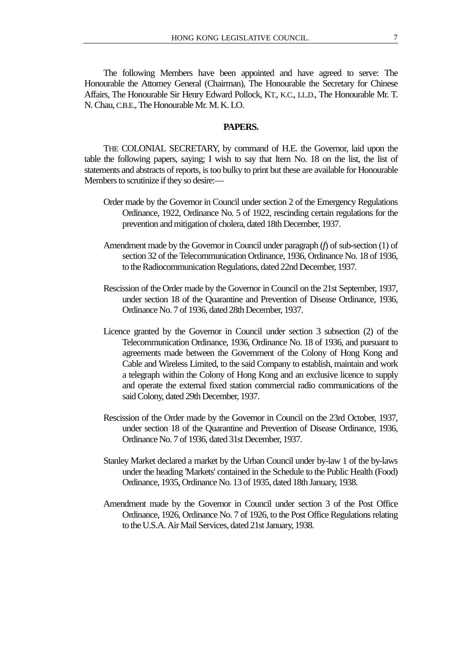The following Members have been appointed and have agreed to serve: The Honourable the Attorney General (Chairman), The Honourable the Secretary for Chinese Affairs, The Honourable Sir Henry Edward Pollock, KT., K.C., LL.D., The Honourable Mr. T. N. Chau, C.B.E., The Honourable Mr. M. K. LO.

## **PAPERS.**

THE COLONIAL SECRETARY, by command of H.E. the Governor, laid upon the table the following papers, saying; I wish to say that Item No. 18 on the list, the list of statements and abstracts of reports, is too bulky to print but these are available for Honourable Members to scrutinize if they so desire:—

- Order made by the Governor in Council under section 2 of the Emergency Regulations Ordinance, 1922, Ordinance No. 5 of 1922, rescinding certain regulations for the prevention and mitigation of cholera, dated 18th December, 1937.
- Amendment made by the Governor in Council under paragraph (*f*) of sub-section (1) of section 32 of the Telecommunication Ordinance, 1936, Ordinance No. 18 of 1936, to the Radiocommunication Regulations, dated 22nd December, 1937.
- Rescission of the Order made by the Governor in Council on the 21st September, 1937, under section 18 of the Quarantine and Prevention of Disease Ordinance, 1936, Ordinance No. 7 of 1936, dated 28th December, 1937.
- Licence granted by the Governor in Council under section 3 subsection (2) of the Telecommunication Ordinance, 1936, Ordinance No. 18 of 1936, and pursuant to agreements made between the Government of the Colony of Hong Kong and Cable and Wireless Limited, to the said Company to establish, maintain and work a telegraph within the Colony of Hong Kong and an exclusive licence to supply and operate the external fixed station commercial radio communications of the said Colony, dated 29th December, 1937.
- Rescission of the Order made by the Governor in Council on the 23rd October, 1937, under section 18 of the Quarantine and Prevention of Disease Ordinance, 1936, Ordinance No. 7 of 1936, dated 31st December, 1937.
- Stanley Market declared a market by the Urban Council under by-law 1 of the by-laws under the heading 'Markets' contained in the Schedule to the Public Health (Food) Ordinance, 1935, Ordinance No. 13 of 1935, dated 18th January, 1938.
- Amendment made by the Governor in Council under section 3 of the Post Office Ordinance, 1926, Ordinance No. 7 of 1926, to the Post Office Regulations relating to the U.S.A. Air Mail Services, dated 21st January, 1938.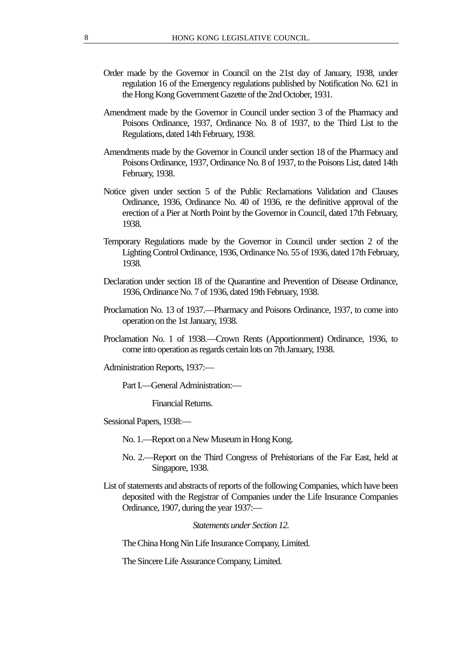- Order made by the Governor in Council on the 21st day of January, 1938, under regulation 16 of the Emergency regulations published by Notification No. 621 in the Hong Kong Government Gazette of the 2nd October, 1931.
- Amendment made by the Governor in Council under section 3 of the Pharmacy and Poisons Ordinance, 1937, Ordinance No. 8 of 1937, to the Third List to the Regulations, dated 14th February, 1938.
- Amendments made by the Governor in Council under section 18 of the Pharmacy and Poisons Ordinance, 1937, Ordinance No. 8 of 1937, to the Poisons List, dated 14th February, 1938.
- Notice given under section 5 of the Public Reclamations Validation and Clauses Ordinance, 1936, Ordinance No. 40 of 1936, re the definitive approval of the erection of a Pier at North Point by the Governor in Council, dated 17th February, 1938.
- Temporary Regulations made by the Governor in Council under section 2 of the Lighting Control Ordinance, 1936, Ordinance No. 55 of 1936, dated 17th February, 1938.
- Declaration under section 18 of the Quarantine and Prevention of Disease Ordinance, 1936, Ordinance No. 7 of 1936, dated 19th February, 1938.
- Proclamation No. 13 of 1937.—Pharmacy and Poisons Ordinance, 1937, to come into operation on the 1st January, 1938.
- Proclamation No. 1 of 1938.—Crown Rents (Apportionment) Ordinance, 1936, to come into operation as regards certain lots on 7th January, 1938.

Administration Reports, 1937:—

Part I.—General Administration:—

Financial Returns.

Sessional Papers, 1938:—

- No. 1.—Report on a New Museum in Hong Kong.
- No. 2.—Report on the Third Congress of Prehistorians of the Far East, held at Singapore, 1938.
- List of statements and abstracts of reports of the following Companies, which have been deposited with the Registrar of Companies under the Life Insurance Companies Ordinance, 1907, during the year 1937:—

*Statements under Section 12.*

The China Hong Nin Life Insurance Company, Limited.

The Sincere Life Assurance Company, Limited.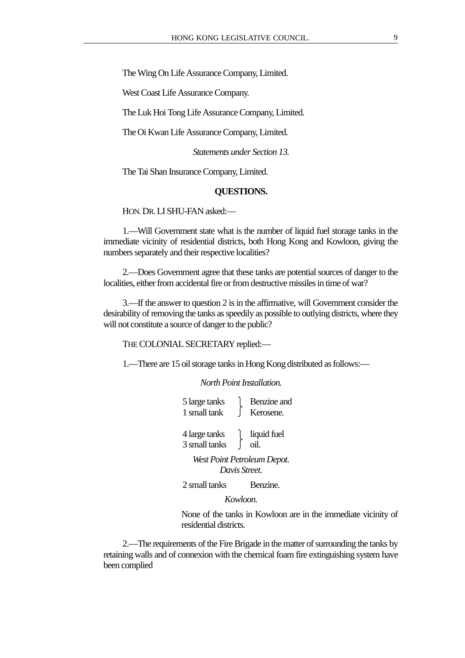The Wing On Life Assurance Company, Limited.

West Coast Life Assurance Company.

The Luk Hoi Tong Life Assurance Company, Limited.

The Oi Kwan Life Assurance Company, Limited.

*Statements under Section 13.*

The Tai Shan Insurance Company, Limited.

#### **QUESTIONS.**

HON. DR. LI SHU-FAN asked:—

1.—Will Government state what is the number of liquid fuel storage tanks in the immediate vicinity of residential districts, both Hong Kong and Kowloon, giving the numbers separately and their respective localities?

2.—Does Government agree that these tanks are potential sources of danger to the localities, either from accidental fire or from destructive missiles in time of war?

3.—If the answer to question 2 is in the affirmative, will Government consider the desirability of removing the tanks as speedily as possible to outlying districts, where they will not constitute a source of danger to the public?

THE COLONIAL SECRETARY replied:—

1.—There are 15 oil storage tanks in Hong Kong distributed as follows:—

*North Point Installation.*

| 5 large tanks<br>1 small tank               |  | Benzine and<br>Kerosene. |
|---------------------------------------------|--|--------------------------|
| 4 large tanks<br>3 small tanks              |  | liquid fuel<br>oil.      |
| West Point Petroleum Depot.<br>Davis Street |  |                          |
| 2 small tanks                               |  | Benzine.                 |

*Kowloon.*

None of the tanks in Kowloon are in the immediate vicinity of residential districts.

2.—The requirements of the Fire Brigade in the matter of surrounding the tanks by retaining walls and of connexion with the chemical foam fire extinguishing system have been complied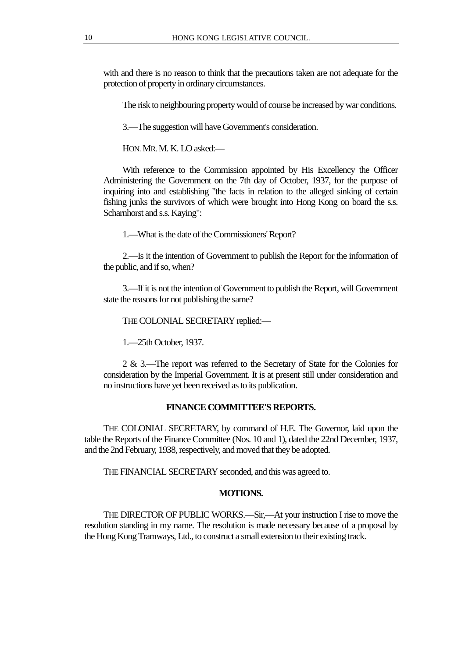with and there is no reason to think that the precautions taken are not adequate for the protection of property in ordinary circumstances.

The risk to neighbouring property would of course be increased by war conditions.

3.—The suggestion will have Government's consideration.

HON. MR. M. K. LO asked:—

With reference to the Commission appointed by His Excellency the Officer Administering the Government on the 7th day of October, 1937, for the purpose of inquiring into and establishing "the facts in relation to the alleged sinking of certain fishing junks the survivors of which were brought into Hong Kong on board the s.s. Scharnhorst and s.s. Kaying":

1.—What is the date of the Commissioners' Report?

2.—Is it the intention of Government to publish the Report for the information of the public, and if so, when?

3.—If it is not the intention of Government to publish the Report, will Government state the reasons for not publishing the same?

THE COLONIAL SECRETARY replied:—

1.—25th October, 1937.

2 & 3.—The report was referred to the Secretary of State for the Colonies for consideration by the Imperial Government. It is at present still under consideration and no instructions have yet been received as to its publication.

## **FINANCE COMMITTEE'S REPORTS.**

THE COLONIAL SECRETARY, by command of H.E. The Governor, laid upon the table the Reports of the Finance Committee (Nos. 10 and 1), dated the 22nd December, 1937, and the 2nd February, 1938, respectively, and moved that they be adopted.

THE FINANCIAL SECRETARY seconded, and this was agreed to.

## **MOTIONS.**

THE DIRECTOR OF PUBLIC WORKS.—Sir,—At your instruction I rise to move the resolution standing in my name. The resolution is made necessary because of a proposal by the Hong Kong Tramways, Ltd., to construct a small extension to their existing track.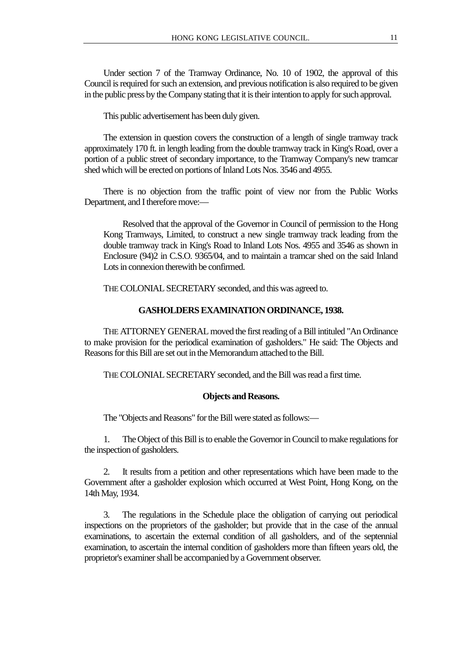Under section 7 of the Tramway Ordinance, No. 10 of 1902, the approval of this Council is required for such an extension, and previous notification is also required to be given in the public press by the Company stating that it is their intention to apply for such approval.

This public advertisement has been duly given.

The extension in question covers the construction of a length of single tramway track approximately 170 ft. in length leading from the double tramway track in King's Road, over a portion of a public street of secondary importance, to the Tramway Company's new tramcar shed which will be erected on portions of Inland Lots Nos. 3546 and 4955.

There is no objection from the traffic point of view nor from the Public Works Department, and I therefore move:—

Resolved that the approval of the Governor in Council of permission to the Hong Kong Tramways, Limited, to construct a new single tramway track leading from the double tramway track in King's Road to Inland Lots Nos. 4955 and 3546 as shown in Enclosure (94)2 in C.S.O. 9365/04, and to maintain a tramcar shed on the said Inland Lots in connexion therewith be confirmed.

THE COLONIAL SECRETARY seconded, and this was agreed to.

#### **GASHOLDERS EXAMINATION ORDINANCE, 1938.**

THE ATTORNEY GENERAL moved the first reading of a Bill intituled "An Ordinance to make provision for the periodical examination of gasholders." He said: The Objects and Reasons for this Bill are set out in the Memorandum attached to the Bill.

THE COLONIAL SECRETARY seconded, and the Bill was read a first time.

#### **Objects and Reasons.**

The "Objects and Reasons" for the Bill were stated as follows:—

1. The Object of this Bill is to enable the Governor in Council to make regulations for the inspection of gasholders.

2. It results from a petition and other representations which have been made to the Government after a gasholder explosion which occurred at West Point, Hong Kong, on the 14th May, 1934.

3. The regulations in the Schedule place the obligation of carrying out periodical inspections on the proprietors of the gasholder; but provide that in the case of the annual examinations, to ascertain the external condition of all gasholders, and of the septennial examination, to ascertain the internal condition of gasholders more than fifteen years old, the proprietor's examiner shall be accompanied by a Government observer.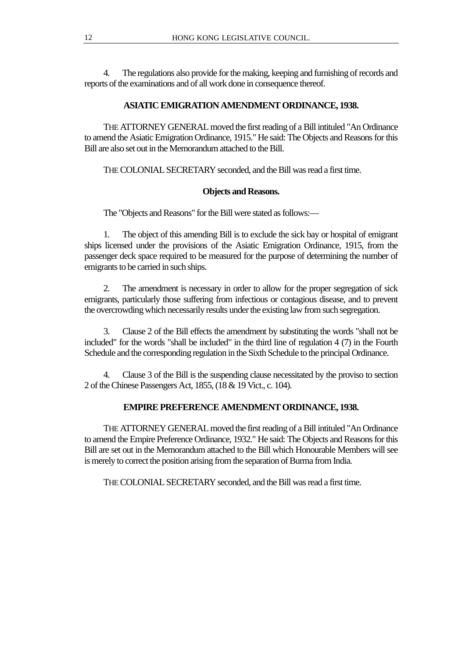4. The regulations also provide for the making, keeping and furnishing of records and reports of the examinations and of all work done in consequence thereof.

## **ASIATIC EMIGRATION AMENDMENT ORDINANCE, 1938.**

THE ATTORNEY GENERAL moved the first reading of a Bill intituled "An Ordinance to amend the Asiatic Emigration Ordinance, 1915." He said: The Objects and Reasons for this Bill are also set out in the Memorandum attached to the Bill.

THE COLONIAL SECRETARY seconded, and the Bill was read a first time.

## **Objects and Reasons.**

The "Objects and Reasons" for the Bill were stated as follows:—

1. The object of this amending Bill is to exclude the sick bay or hospital of emigrant ships licensed under the provisions of the Asiatic Emigration Ordinance, 1915, from the passenger deck space required to be measured for the purpose of determining the number of emigrants to be carried in such ships.

2. The amendment is necessary in order to allow for the proper segregation of sick emigrants, particularly those suffering from infectious or contagious disease, and to prevent the overcrowding which necessarily results under the existing law from such segregation.

3. Clause 2 of the Bill effects the amendment by substituting the words "shall not be included" for the words "shall be included" in the third line of regulation 4 (7) in the Fourth Schedule and the corresponding regulation in the Sixth Schedule to the principal Ordinance.

4. Clause 3 of the Bill is the suspending clause necessitated by the proviso to section 2 of the Chinese Passengers Act, 1855, (18 & 19 Vict., c. 104).

## **EMPIRE PREFERENCE AMENDMENT ORDINANCE, 1938.**

THE ATTORNEY GENERAL moved the first reading of a Bill intituled "An Ordinance to amend the Empire Preference Ordinance, 1932." He said: The Objects and Reasons for this Bill are set out in the Memorandum attached to the Bill which Honourable Members will see is merely to correct the position arising from the separation of Burma from India.

THE COLONIAL SECRETARY seconded, and the Bill was read a first time.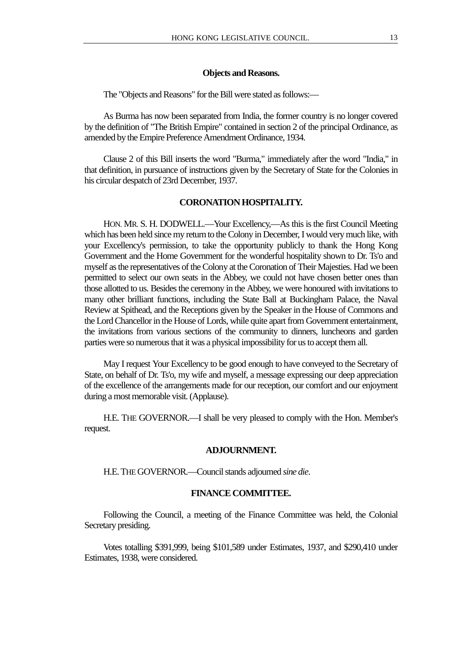#### **Objects and Reasons.**

The "Objects and Reasons" for the Bill were stated as follows:—

As Burma has now been separated from India, the former country is no longer covered by the definition of "The British Empire" contained in section 2 of the principal Ordinance, as amended by the Empire Preference Amendment Ordinance, 1934.

Clause 2 of this Bill inserts the word "Burma," immediately after the word "India," in that definition, in pursuance of instructions given by the Secretary of State for the Colonies in his circular despatch of 23rd December, 1937.

#### **CORONATION HOSPITALITY.**

HON. MR. S. H. DODWELL.—Your Excellency,—As this is the first Council Meeting which has been held since my return to the Colony in December, I would very much like, with your Excellency's permission, to take the opportunity publicly to thank the Hong Kong Government and the Home Government for the wonderful hospitality shown to Dr. Ts'o and myself as the representatives of the Colony at the Coronation of Their Majesties. Had we been permitted to select our own seats in the Abbey, we could not have chosen better ones than those allotted to us. Besides the ceremony in the Abbey, we were honoured with invitations to many other brilliant functions, including the State Ball at Buckingham Palace, the Naval Review at Spithead, and the Receptions given by the Speaker in the House of Commons and the Lord Chancellor in the House of Lords, while quite apart from Government entertainment, the invitations from various sections of the community to dinners, luncheons and garden parties were so numerous that it was a physical impossibility for us to accept them all.

May I request Your Excellency to be good enough to have conveyed to the Secretary of State, on behalf of Dr. Ts'o, my wife and myself, a message expressing our deep appreciation of the excellence of the arrangements made for our reception, our comfort and our enjoyment during a most memorable visit. (Applause).

H.E. THE GOVERNOR.—I shall be very pleased to comply with the Hon. Member's request.

#### **ADJOURNMENT.**

H.E. THE GOVERNOR.—Council stands adjourned *sine die*.

#### **FINANCE COMMITTEE.**

Following the Council, a meeting of the Finance Committee was held, the Colonial Secretary presiding.

Votes totalling \$391,999, being \$101,589 under Estimates, 1937, and \$290,410 under Estimates, 1938, were considered.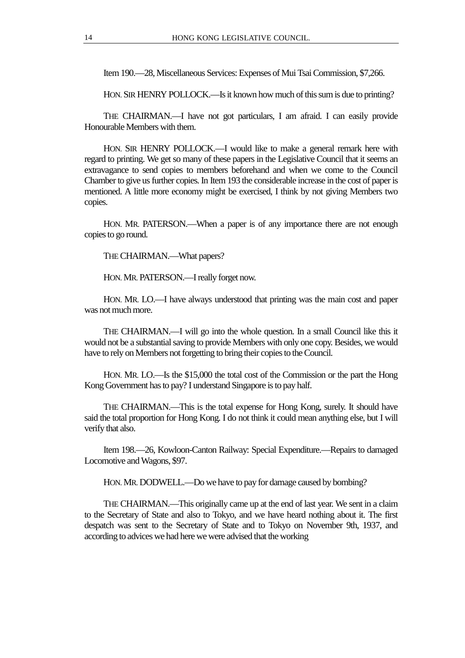Item 190.—28, Miscellaneous Services: Expenses of Mui Tsai Commission, \$7,266.

HON. SIR HENRY POLLOCK.—Is it known how much of this sum is due to printing?

THE CHAIRMAN.—I have not got particulars, I am afraid. I can easily provide Honourable Members with them.

HON. SIR HENRY POLLOCK.—I would like to make a general remark here with regard to printing. We get so many of these papers in the Legislative Council that it seems an extravagance to send copies to members beforehand and when we come to the Council Chamber to give us further copies. In Item 193 the considerable increase in the cost of paper is mentioned. A little more economy might be exercised, I think by not giving Members two copies.

HON. MR. PATERSON.—When a paper is of any importance there are not enough copies to go round.

THE CHAIRMAN.—What papers?

HON. MR. PATERSON.—I really forget now.

HON. MR. LO.—I have always understood that printing was the main cost and paper was not much more.

THE CHAIRMAN.—I will go into the whole question. In a small Council like this it would not be a substantial saving to provide Members with only one copy. Besides, we would have to rely on Members not forgetting to bring their copies to the Council.

HON. MR. LO.—Is the \$15,000 the total cost of the Commission or the part the Hong Kong Government has to pay? I understand Singapore is to pay half.

THE CHAIRMAN.—This is the total expense for Hong Kong, surely. It should have said the total proportion for Hong Kong. I do not think it could mean anything else, but I will verify that also.

Item 198.—26, Kowloon-Canton Railway: Special Expenditure.—Repairs to damaged Locomotive and Wagons, \$97.

HON. MR. DODWELL.—Do we have to pay for damage caused by bombing?

THE CHAIRMAN.—This originally came up at the end of last year. We sent in a claim to the Secretary of State and also to Tokyo, and we have heard nothing about it. The first despatch was sent to the Secretary of State and to Tokyo on November 9th, 1937, and according to advices we had here we were advised that the working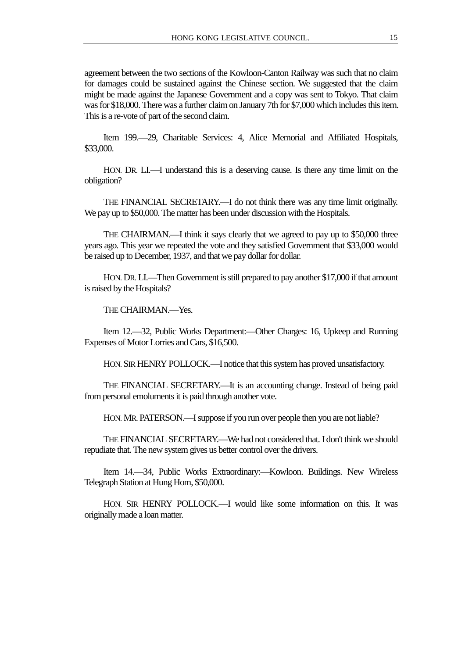agreement between the two sections of the Kowloon-Canton Railway was such that no claim for damages could be sustained against the Chinese section. We suggested that the claim might be made against the Japanese Government and a copy was sent to Tokyo. That claim was for \$18,000. There was a further claim on January 7th for \$7,000 which includes this item. This is a re-vote of part of the second claim.

Item 199.—29, Charitable Services: 4, Alice Memorial and Affiliated Hospitals, \$33,000.

HON. DR. LI.—I understand this is a deserving cause. Is there any time limit on the obligation?

THE FINANCIAL SECRETARY.—I do not think there was any time limit originally. We pay up to \$50,000. The matter has been under discussion with the Hospitals.

THE CHAIRMAN.—I think it says clearly that we agreed to pay up to \$50,000 three years ago. This year we repeated the vote and they satisfied Government that \$33,000 would be raised up to December, 1937, and that we pay dollar for dollar.

HON. DR. LI.—Then Government is still prepared to pay another \$17,000 if that amount is raised by the Hospitals?

THE CHAIRMAN.—Yes.

Item 12.—32, Public Works Department:—Other Charges: 16, Upkeep and Running Expenses of Motor Lorries and Cars, \$16,500.

HON. SIR HENRY POLLOCK.—I notice that this system has proved unsatisfactory.

THE FINANCIAL SECRETARY.—It is an accounting change. Instead of being paid from personal emoluments it is paid through another vote.

HON. MR. PATERSON.—I suppose if you run over people then you are not liable?

THE FINANCIAL SECRETARY.—We had not considered that. I don't think we should repudiate that. The new system gives us better control over the drivers.

Item 14.—34, Public Works Extraordinary:—Kowloon. Buildings. New Wireless Telegraph Station at Hung Hom, \$50,000.

HON. SIR HENRY POLLOCK.—I would like some information on this. It was originally made a loan matter.